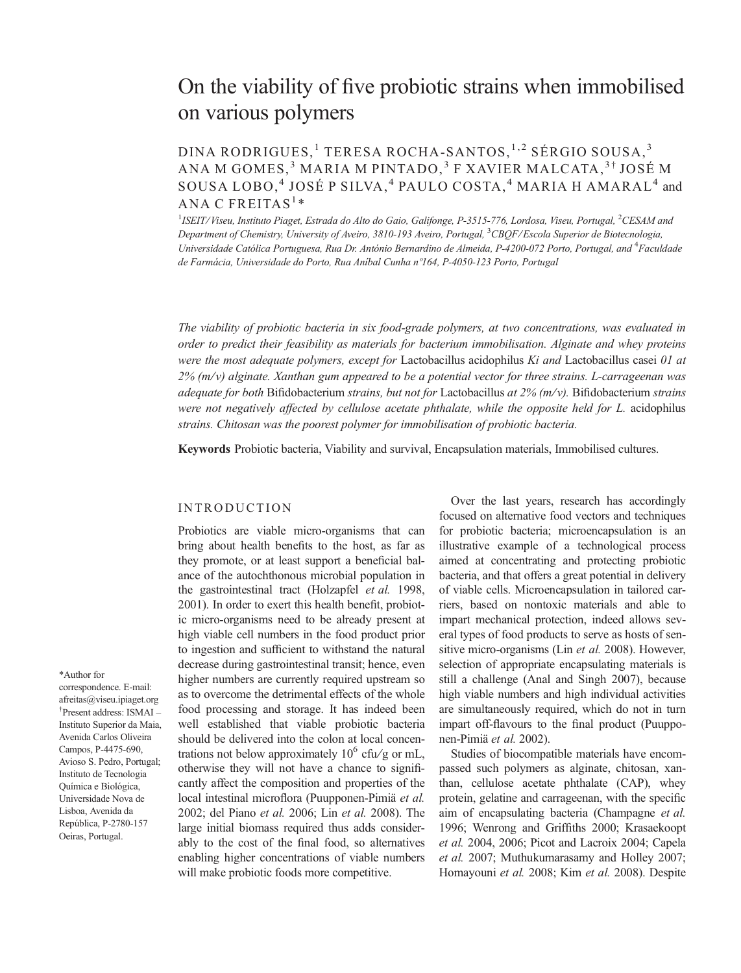# On the viability of five probiotic strains when immobilised on various polymers

# DINA RODRIGUES,<sup>1</sup> TERESA ROCHA-SANTOS,<sup>1,2</sup> SÉRGIO SOUSA,<sup>3</sup> ANA M GOMES,<sup>3</sup> MARIA M PINTADO,<sup>3</sup> F XAVIER MALCATA,<sup>3†</sup> JOSÉ M SOUSA LOBO,<sup>4</sup> JOSÉ P SILVA,<sup>4</sup> PAULO COSTA,<sup>4</sup> MARIA H AMARAL<sup>4</sup> and ANA C FREITAS<sup>1</sup>\*

 $^1$ ISEIT/Viseu, Instituto Piaget, Estrada do Alto do Gaio, Galifonge, P-3515-776, Lordosa, Viseu, Portugal,  $^2$ CESAM ana Department of Chemistry, University of Aveiro, 3810-193 Aveiro, Portugal, <sup>3</sup>CBQF/Escola Superior de Biotecnologia, Universidade Católica Portuguesa, Rua Dr. António Bernardino de Almeida, P-4200-072 Porto, Portugal, and <sup>4</sup>Faculdade de Farmácia, Universidade do Porto, Rua Aníbal Cunha nº164, P-4050-123 Porto, Portugal

The viability of probiotic bacteria in six food-grade polymers, at two concentrations, was evaluated in order to predict their feasibility as materials for bacterium immobilisation. Alginate and whey proteins were the most adequate polymers, except for Lactobacillus acidophilus Ki and Lactobacillus casei 01 at  $2\%$  (m/v) alginate. Xanthan gum appeared to be a potential vector for three strains. L-carrageenan was adequate for both Bifidobacterium strains, but not for Lactobacillus at  $2\%$  (m/v). Bifidobacterium strains were not negatively affected by cellulose acetate phthalate, while the opposite held for L. acidophilus strains. Chitosan was the poorest polymer for immobilisation of probiotic bacteria.

Keywords Probiotic bacteria, Viability and survival, Encapsulation materials, Immobilised cultures.

# INTRODUCTION

Probiotics are viable micro-organisms that can bring about health benefits to the host, as far as they promote, or at least support a beneficial balance of the autochthonous microbial population in the gastrointestinal tract (Holzapfel et al. 1998, 2001). In order to exert this health benefit, probiotic micro-organisms need to be already present at high viable cell numbers in the food product prior to ingestion and sufficient to withstand the natural decrease during gastrointestinal transit; hence, even higher numbers are currently required upstream so as to overcome the detrimental effects of the whole food processing and storage. It has indeed been well established that viable probiotic bacteria should be delivered into the colon at local concentrations not below approximately  $10^6$  cfu/g or mL, otherwise they will not have a chance to significantly affect the composition and properties of the local intestinal microflora (Puupponen-Pimiä et al. 2002; del Piano et al. 2006; Lin et al. 2008). The large initial biomass required thus adds considerably to the cost of the final food, so alternatives enabling higher concentrations of viable numbers will make probiotic foods more competitive.

Over the last years, research has accordingly focused on alternative food vectors and techniques for probiotic bacteria; microencapsulation is an illustrative example of a technological process aimed at concentrating and protecting probiotic bacteria, and that offers a great potential in delivery of viable cells. Microencapsulation in tailored carriers, based on nontoxic materials and able to impart mechanical protection, indeed allows several types of food products to serve as hosts of sensitive micro-organisms (Lin et al. 2008). However, selection of appropriate encapsulating materials is still a challenge (Anal and Singh 2007), because high viable numbers and high individual activities are simultaneously required, which do not in turn impart off-flavours to the final product (Puupponen-Pimiä et al. 2002).

Studies of biocompatible materials have encompassed such polymers as alginate, chitosan, xanthan, cellulose acetate phthalate (CAP), whey protein, gelatine and carrageenan, with the specific aim of encapsulating bacteria (Champagne et al. 1996; Wenrong and Griffiths 2000; Krasaekoopt et al. 2004, 2006; Picot and Lacroix 2004; Capela et al. 2007; Muthukumarasamy and Holley 2007; Homayouni et al. 2008; Kim et al. 2008). Despite

afreitas@viseu.ipiaget.org † Present address: ISMAI – Instituto Superior da Maia, Avenida Carlos Oliveira Campos, P-4475-690, Avioso S. Pedro, Portugal; Instituto de Tecnologia

Química e Biológica, Universidade Nova de Lisboa, Avenida da República, P-2780-157 Oeiras, Portugal.

correspondence. E-mail:

\*Author for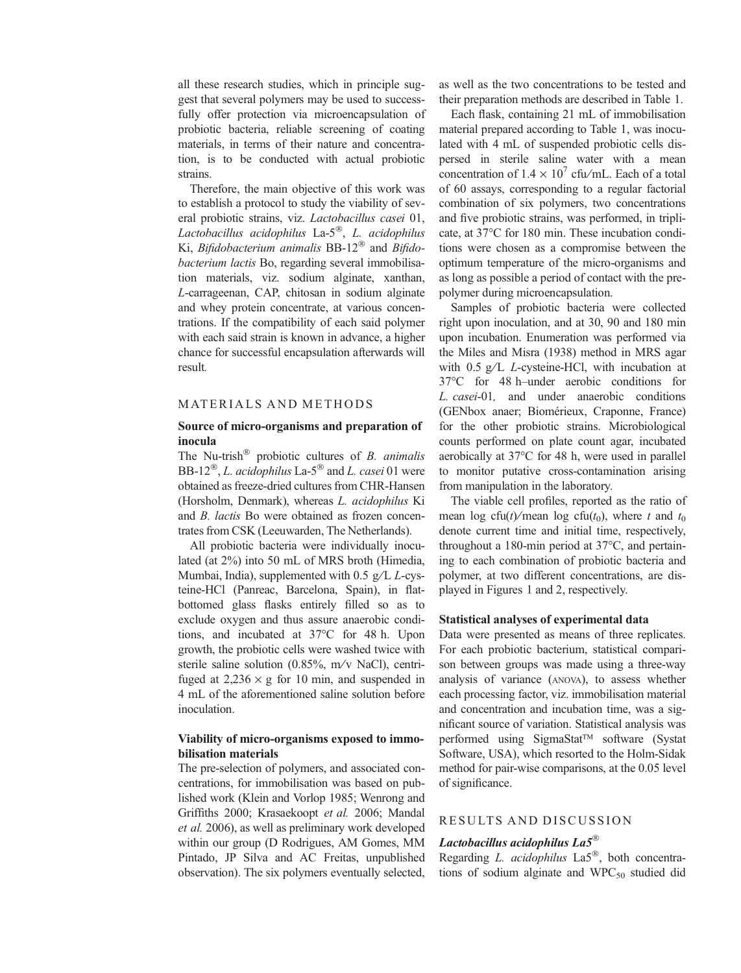all these research studies, which in principle suggest that several polymers may be used to successfully offer protection via microencapsulation of probiotic bacteria, reliable screening of coating materials, in terms of their nature and concentration, is to be conducted with actual probiotic strains.

Therefore, the main objective of this work was to establish a protocol to study the viability of several probiotic strains, viz. Lactobacillus casei 01, Lactobacillus acidophilus La- $5^{\circledR}$ , L. acidophilus Ki, Bifidobacterium animalis  $BB-12^{\circledR}$  and Bifidobacterium lactis Bo, regarding several immobilisation materials, viz. sodium alginate, xanthan, L-carrageenan, CAP, chitosan in sodium alginate and whey protein concentrate, at various concentrations. If the compatibility of each said polymer with each said strain is known in advance, a higher chance for successful encapsulation afterwards will result.

#### MATER IALS AND METHODS

# Source of micro-organisms and preparation of inocula

The Nu-trish<sup>®</sup> probiotic cultures of *B. animalis* BB-12<sup>®</sup>, *L. acidophilus* La-5<sup>®</sup> and *L. casei* 01 were obtained as freeze-dried cultures from CHR-Hansen (Horsholm, Denmark), whereas L. acidophilus Ki and B. lactis Bo were obtained as frozen concentrates from CSK (Leeuwarden, The Netherlands).

All probiotic bacteria were individually inoculated (at 2%) into 50 mL of MRS broth (Himedia, Mumbai, India), supplemented with 0.5  $g/L$  L-cysteine-HCl (Panreac, Barcelona, Spain), in flatbottomed glass flasks entirely filled so as to exclude oxygen and thus assure anaerobic conditions, and incubated at 37°C for 48 h. Upon growth, the probiotic cells were washed twice with sterile saline solution  $(0.85\%$ , m/v NaCl), centrifuged at  $2,236 \times g$  for 10 min, and suspended in 4 mL of the aforementioned saline solution before inoculation.

# Viability of micro-organisms exposed to immobilisation materials

The pre-selection of polymers, and associated concentrations, for immobilisation was based on published work (Klein and Vorlop 1985; Wenrong and Griffiths 2000; Krasaekoopt et al. 2006; Mandal et al. 2006), as well as preliminary work developed within our group (D Rodrigues, AM Gomes, MM Pintado, JP Silva and AC Freitas, unpublished observation). The six polymers eventually selected,

as well as the two concentrations to be tested and their preparation methods are described in Table 1.

Each flask, containing 21 mL of immobilisation material prepared according to Table 1, was inoculated with 4 mL of suspended probiotic cells dispersed in sterile saline water with a mean concentration of  $1.4 \times 10^7$  cfu/mL. Each of a total of 60 assays, corresponding to a regular factorial combination of six polymers, two concentrations and five probiotic strains, was performed, in triplicate, at  $37^{\circ}$ C for 180 min. These incubation conditions were chosen as a compromise between the optimum temperature of the micro-organisms and as long as possible a period of contact with the prepolymer during microencapsulation.

Samples of probiotic bacteria were collected right upon inoculation, and at 30, 90 and 180 min upon incubation. Enumeration was performed via the Miles and Misra (1938) method in MRS agar with  $0.5$  g/L L-cysteine-HCl, with incubation at 37C for 48 h–under aerobic conditions for L. casei-01, and under anaerobic conditions (GENbox anaer; Biomérieux, Craponne, France) for the other probiotic strains. Microbiological counts performed on plate count agar, incubated aerobically at  $37^{\circ}$ C for 48 h, were used in parallel to monitor putative cross-contamination arising from manipulation in the laboratory.

The viable cell profiles, reported as the ratio of mean log cfu(t)/mean log cfu(t<sub>0</sub>), where t and t<sub>0</sub> denote current time and initial time, respectively, throughout a 180-min period at  $37^{\circ}$ C, and pertaining to each combination of probiotic bacteria and polymer, at two different concentrations, are displayed in Figures 1 and 2, respectively.

#### Statistical analyses of experimental data

Data were presented as means of three replicates. For each probiotic bacterium, statistical comparison between groups was made using a three-way analysis of variance (ANOVA), to assess whether each processing factor, viz. immobilisation material and concentration and incubation time, was a significant source of variation. Statistical analysis was performed using SigmaStat™ software (Systat Software, USA), which resorted to the Holm-Sidak method for pair-wise comparisons, at the 0.05 level of significance.

# RESULTS AND DISCUSSION

# Lactobacillus acidophilus La $5^{\circledR}$

Regarding L. acidophilus  $La5^\circ$ , both concentrations of sodium alginate and  $WPC_{50}$  studied did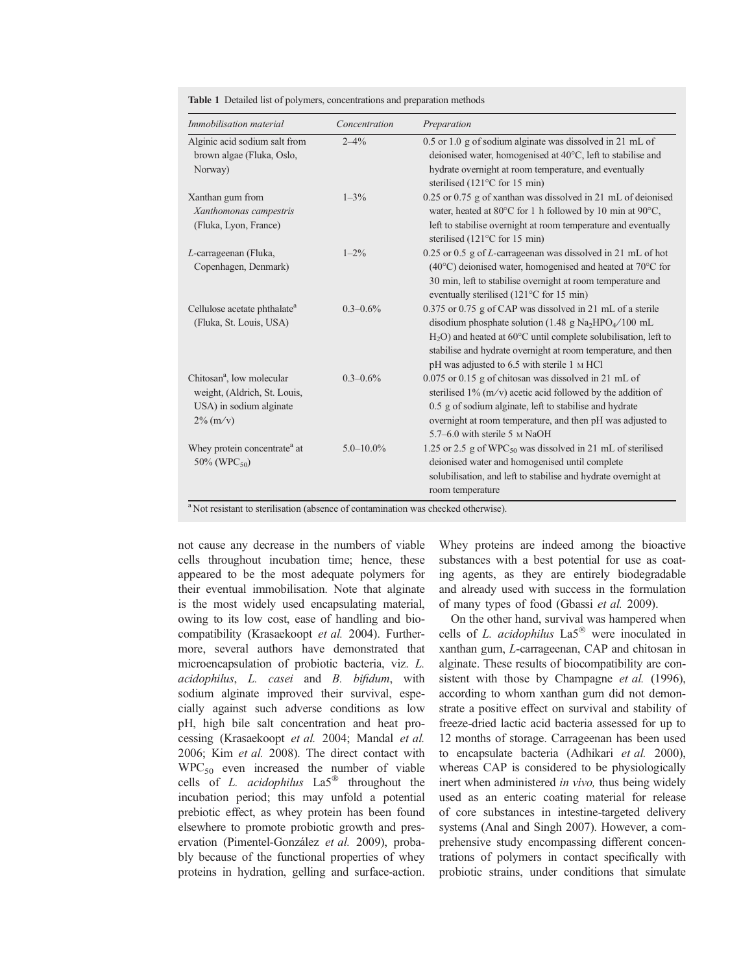| Immobilisation material                                                                                                                                                 | Concentration  | Preparation                                                                                                                                                                                                                                                                                                                                 |
|-------------------------------------------------------------------------------------------------------------------------------------------------------------------------|----------------|---------------------------------------------------------------------------------------------------------------------------------------------------------------------------------------------------------------------------------------------------------------------------------------------------------------------------------------------|
| Alginic acid sodium salt from<br>brown algae (Fluka, Oslo,<br>Norway)                                                                                                   | $2 - 4\%$      | 0.5 or 1.0 g of sodium alginate was dissolved in 21 mL of<br>deionised water, homogenised at 40°C, left to stabilise and<br>hydrate overnight at room temperature, and eventually<br>sterilised (121 $\degree$ C for 15 min)                                                                                                                |
| Xanthan gum from<br>Xanthomonas campestris<br>(Fluka, Lyon, France)                                                                                                     | $1 - 3\%$      | 0.25 or 0.75 g of xanthan was dissolved in 21 mL of deionised<br>water, heated at 80°C for 1 h followed by 10 min at 90°C,<br>left to stabilise overnight at room temperature and eventually<br>sterilised $(121^{\circ}$ C for 15 min)                                                                                                     |
| L-carrageenan (Fluka,<br>Copenhagen, Denmark)                                                                                                                           | $1 - 2\%$      | $0.25$ or $0.5$ g of <i>L</i> -carrageman was dissolved in 21 mL of hot<br>(40°C) deionised water, homogenised and heated at 70°C for<br>30 min, left to stabilise overnight at room temperature and<br>eventually sterilised $(121^{\circ}C$ for 15 min)                                                                                   |
| Cellulose acetate phthalate <sup>a</sup><br>(Fluka, St. Louis, USA)                                                                                                     | $0.3 - 0.6\%$  | 0.375 or 0.75 g of CAP was dissolved in 21 mL of a sterile<br>disodium phosphate solution (1.48 g Na <sub>2</sub> HPO <sub>4</sub> /100 mL<br>$H_2O$ ) and heated at 60 $^{\circ}$ C until complete solubilisation, left to<br>stabilise and hydrate overnight at room temperature, and then<br>pH was adjusted to 6.5 with sterile 1 M HCl |
| Chitosan <sup>a</sup> , low molecular<br>weight, (Aldrich, St. Louis,<br>USA) in sodium alginate<br>$2\%$ (m/v)                                                         | $0.3 - 0.6\%$  | $0.075$ or $0.15$ g of chitosan was dissolved in 21 mL of<br>sterilised $1\%$ (m/v) acetic acid followed by the addition of<br>0.5 g of sodium alginate, left to stabilise and hydrate<br>overnight at room temperature, and then pH was adjusted to<br>5.7–6.0 with sterile 5 M NaOH                                                       |
| Whey protein concentrate <sup>a</sup> at<br>$50\%$ (WPC <sub>50</sub> )<br><sup>a</sup> Not resistant to sterilisation (absence of contamination was checked otherwise) | $5.0 - 10.0\%$ | 1.25 or 2.5 g of WPC <sub>50</sub> was dissolved in 21 mL of sterilised<br>deionised water and homogenised until complete<br>solubilisation, and left to stabilise and hydrate overnight at<br>room temperature                                                                                                                             |

Table 1 Detailed list of polymers, concentrations and preparation methods

Not resistant to sterilisation (absence of contamination was checked otherwise).

not cause any decrease in the numbers of viable cells throughout incubation time; hence, these appeared to be the most adequate polymers for their eventual immobilisation. Note that alginate is the most widely used encapsulating material, owing to its low cost, ease of handling and biocompatibility (Krasaekoopt et al. 2004). Furthermore, several authors have demonstrated that microencapsulation of probiotic bacteria, viz. L. acidophilus, L. casei and B. bifidum, with sodium alginate improved their survival, especially against such adverse conditions as low pH, high bile salt concentration and heat processing (Krasaekoopt et al. 2004; Mandal et al. 2006; Kim et al. 2008). The direct contact with  $WPC_{50}$  even increased the number of viable cells of L. *acidophilus*  $La5^{\circledR}$  throughout the incubation period; this may unfold a potential prebiotic effect, as whey protein has been found elsewhere to promote probiotic growth and preservation (Pimentel-González et al. 2009), probably because of the functional properties of whey proteins in hydration, gelling and surface-action.

Whey proteins are indeed among the bioactive substances with a best potential for use as coating agents, as they are entirely biodegradable and already used with success in the formulation of many types of food (Gbassi et al. 2009).

On the other hand, survival was hampered when cells of L. acidophilus  $La5^{\circledR}$  were inoculated in xanthan gum, L-carrageenan, CAP and chitosan in alginate. These results of biocompatibility are consistent with those by Champagne et al. (1996), according to whom xanthan gum did not demonstrate a positive effect on survival and stability of freeze-dried lactic acid bacteria assessed for up to 12 months of storage. Carrageenan has been used to encapsulate bacteria (Adhikari et al. 2000), whereas CAP is considered to be physiologically inert when administered *in vivo*, thus being widely used as an enteric coating material for release of core substances in intestine-targeted delivery systems (Anal and Singh 2007). However, a comprehensive study encompassing different concentrations of polymers in contact specifically with probiotic strains, under conditions that simulate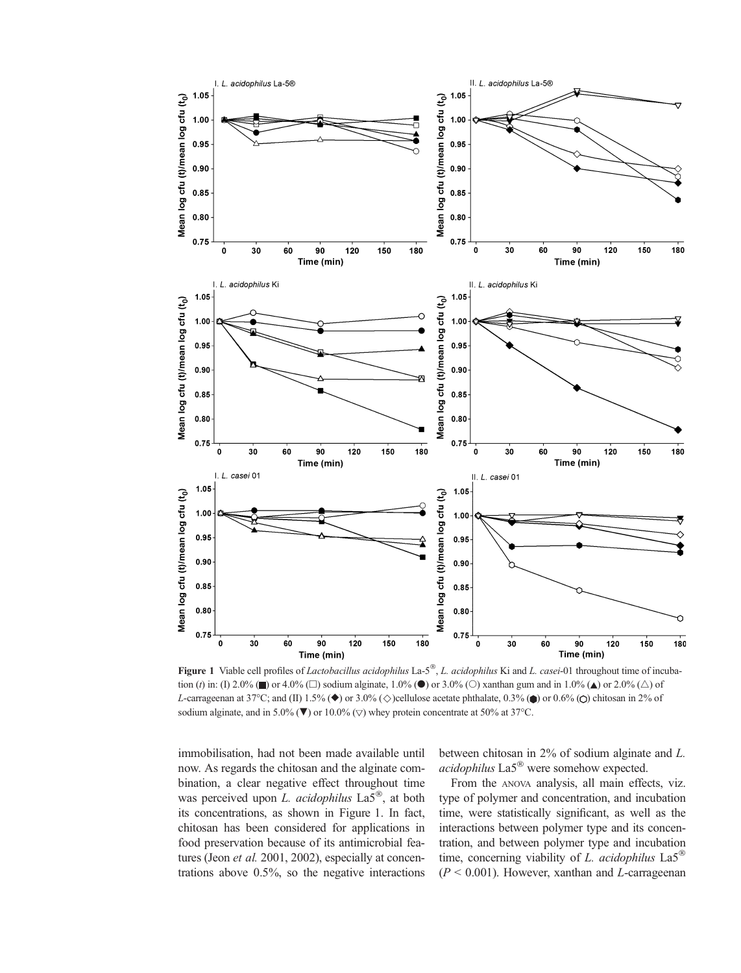

Figure 1 Viable cell profiles of *Lactobacillus acidophilus* La-5<sup>®</sup>, *L. acidophilus* Ki and *L. casei*-01 throughout time of incubation (t) in: (I) 2.0% ( $\blacksquare$ ) or 4.0% ( $\Box$ ) sodium alginate, 1.0% ( $\bigcirc$ ) or 3.0% ( $\bigcirc$ ) xanthan gum and in 1.0% ( $\blacktriangle$ ) or 2.0% ( $\bigcirc$ ) of L-carrageenan at 37°C; and (II) 1.5% ( $\blacklozenge$ ) or 3.0% ( $\diamondsuit$ )cellulose acetate phthalate, 0.3% ( $\blacklozenge$ ) or 0.6% ( $\bigcirc$ ) chitosan in 2% of sodium alginate, and in 5.0% ( $\nabla$ ) or 10.0% ( $\nabla$ ) whey protein concentrate at 50% at 37°C.

immobilisation, had not been made available until now. As regards the chitosan and the alginate combination, a clear negative effect throughout time was perceived upon L. acidophilus  $\text{La}5^{\circ\circ}$ , at both its concentrations, as shown in Figure 1. In fact, chitosan has been considered for applications in food preservation because of its antimicrobial features (Jeon *et al.* 2001, 2002), especially at concentrations above 0.5%, so the negative interactions

between chitosan in 2% of sodium alginate and L.  $acidophilus$  La $5^\circledR$  were somehow expected.

From the ANOVA analysis, all main effects, viz. type of polymer and concentration, and incubation time, were statistically significant, as well as the interactions between polymer type and its concentration, and between polymer type and incubation time, concerning viability of L. *acidophilus*  $La5^{\circledcirc}$  $(P < 0.001)$ . However, xanthan and *L*-carrageenan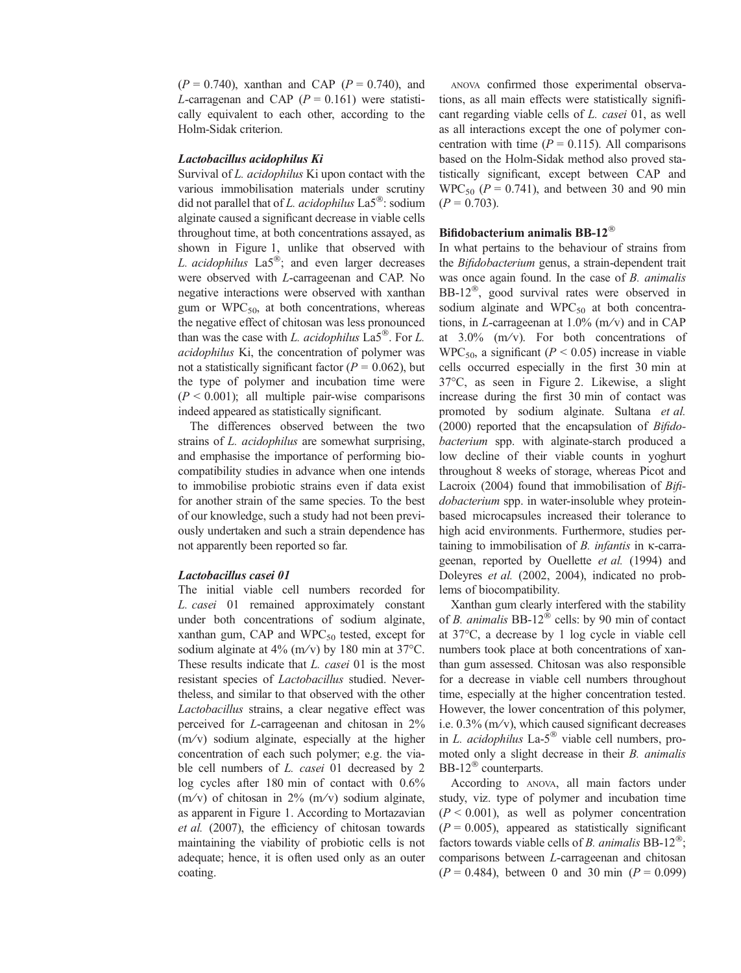$(P = 0.740)$ , xanthan and CAP  $(P = 0.740)$ , and L-carragenan and CAP ( $P = 0.161$ ) were statistically equivalent to each other, according to the Holm-Sidak criterion.

# Lactobacillus acidophilus Ki

Survival of L. acidophilus Ki upon contact with the various immobilisation materials under scrutiny did not parallel that of L. acidophilus  $\text{La}5^{\circledcirc}$ : sodium alginate caused a significant decrease in viable cells throughout time, at both concentrations assayed, as shown in Figure 1, unlike that observed with L. acidophilus  $La5^{\circledcirc}$ : and even larger decreases were observed with L-carrageenan and CAP. No negative interactions were observed with xanthan gum or  $WPC_{50}$ , at both concentrations, whereas the negative effect of chitosan was less pronounced than was the case with L. *acidophilus*  $La5^{\circ}$ . For L. acidophilus Ki, the concentration of polymer was not a statistically significant factor ( $P = 0.062$ ), but the type of polymer and incubation time were  $(P < 0.001)$ ; all multiple pair-wise comparisons indeed appeared as statistically significant.

The differences observed between the two strains of *L. acidophilus* are somewhat surprising, and emphasise the importance of performing biocompatibility studies in advance when one intends to immobilise probiotic strains even if data exist for another strain of the same species. To the best of our knowledge, such a study had not been previously undertaken and such a strain dependence has not apparently been reported so far.

# Lactobacillus casei 01

The initial viable cell numbers recorded for L. casei 01 remained approximately constant under both concentrations of sodium alginate, xanthan gum, CAP and  $WPC_{50}$  tested, except for sodium alginate at  $4\%$  (m/v) by 180 min at 37°C. These results indicate that *L. casei* 01 is the most resistant species of Lactobacillus studied. Nevertheless, and similar to that observed with the other Lactobacillus strains, a clear negative effect was perceived for L-carrageenan and chitosan in 2%  $(m/v)$  sodium alginate, especially at the higher concentration of each such polymer; e.g. the viable cell numbers of L. casei 01 decreased by 2 log cycles after 180 min of contact with 0.6% (m/v) of chitosan in  $2\%$  (m/v) sodium alginate, as apparent in Figure 1. According to Mortazavian et al. (2007), the efficiency of chitosan towards maintaining the viability of probiotic cells is not adequate; hence, it is often used only as an outer coating.

ANOVA confirmed those experimental observations, as all main effects were statistically significant regarding viable cells of L. casei 01, as well as all interactions except the one of polymer concentration with time  $(P = 0.115)$ . All comparisons based on the Holm-Sidak method also proved statistically significant, except between CAP and  $WPC_{50}$  ( $P = 0.741$ ), and between 30 and 90 min  $(P = 0.703)$ .

# Bifidobacterium animalis BB-12

In what pertains to the behaviour of strains from the Bifidobacterium genus, a strain-dependent trait was once again found. In the case of B. animalis BB-12 $^{\circ}$ , good survival rates were observed in sodium alginate and  $WPC_{50}$  at both concentrations, in L-carrageenan at  $1.0\%$  (m/v) and in CAP at  $3.0\%$  (m/v). For both concentrations of  $WPC_{50}$ , a significant ( $P < 0.05$ ) increase in viable cells occurred especially in the first 30 min at 37C, as seen in Figure 2. Likewise, a slight increase during the first 30 min of contact was promoted by sodium alginate. Sultana et al. (2000) reported that the encapsulation of Bifidobacterium spp. with alginate-starch produced a low decline of their viable counts in yoghurt throughout 8 weeks of storage, whereas Picot and Lacroix (2004) found that immobilisation of Bifidobacterium spp. in water-insoluble whey proteinbased microcapsules increased their tolerance to high acid environments. Furthermore, studies pertaining to immobilisation of  $B$ . *infantis* in  $\kappa$ -carrageenan, reported by Ouellette et al. (1994) and Doleyres et al. (2002, 2004), indicated no problems of biocompatibility.

Xanthan gum clearly interfered with the stability of B. animalis BB-12 $^{\circ\circ}$  cells: by 90 min of contact at  $37^{\circ}$ C, a decrease by 1 log cycle in viable cell numbers took place at both concentrations of xanthan gum assessed. Chitosan was also responsible for a decrease in viable cell numbers throughout time, especially at the higher concentration tested. However, the lower concentration of this polymer, i.e. 0.3% (m⁄ v), which caused significant decreases in L. acidophilus La- $5^{\circledR}$  viable cell numbers, promoted only a slight decrease in their B. animalis BB-12 $^{\circ}$  counterparts.

According to ANOVA, all main factors under study, viz. type of polymer and incubation time  $(P < 0.001)$ , as well as polymer concentration  $(P = 0.005)$ , appeared as statistically significant factors towards viable cells of *B*. *animalis* BB-12<sup>®</sup>; comparisons between L-carrageenan and chitosan  $(P = 0.484)$ , between 0 and 30 min  $(P = 0.099)$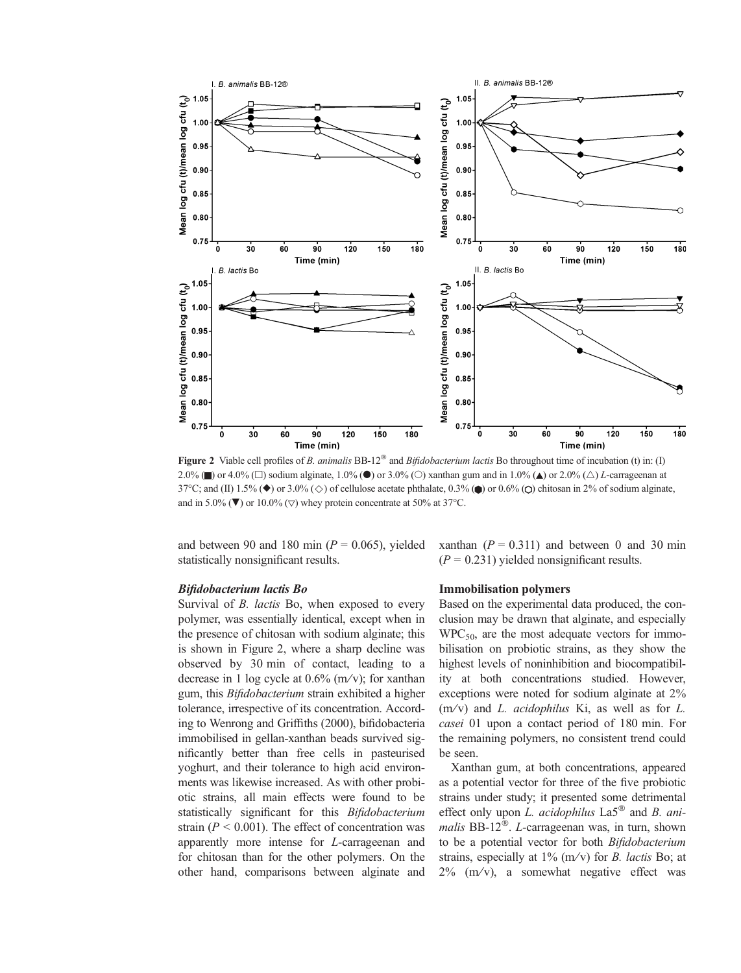

Figure 2 Viable cell profiles of B. animalis  $BB-12^{\circledast}$  and Bifidobacterium lactis Bo throughout time of incubation (t) in: (I) 2.0% ( $\Box$ ) or 4.0% ( $\Box$ ) sodium alginate, 1.0% ( $\Diamond$ ) or 3.0% ( $\Diamond$ ) xanthan gum and in 1.0% ( $\Diamond$ ) or 2.0% ( $\triangle$ ) L-carrageenan at 37°C; and (II) 1.5% ( $\blacklozenge$ ) or 3.0% ( $\diamondsuit$ ) of cellulose acetate phthalate, 0.3% ( $\blacklozenge$ ) or 0.6% ( $\bigcirc$ ) chitosan in 2% of sodium alginate, and in 5.0% ( $\nabla$ ) or 10.0% ( $\nabla$ ) whey protein concentrate at 50% at 37°C.

and between 90 and 180 min ( $P = 0.065$ ), yielded statistically nonsignificant results.

#### Bifidobacterium lactis Bo

Survival of *B. lactis* Bo, when exposed to every polymer, was essentially identical, except when in the presence of chitosan with sodium alginate; this is shown in Figure 2, where a sharp decline was observed by 30 min of contact, leading to a decrease in 1 log cycle at  $0.6\%$  (m/v); for xanthan gum, this Bifidobacterium strain exhibited a higher tolerance, irrespective of its concentration. According to Wenrong and Griffiths (2000), bifidobacteria immobilised in gellan-xanthan beads survived significantly better than free cells in pasteurised yoghurt, and their tolerance to high acid environments was likewise increased. As with other probiotic strains, all main effects were found to be statistically significant for this *Bifidobacterium* strain ( $P < 0.001$ ). The effect of concentration was apparently more intense for L-carrageenan and for chitosan than for the other polymers. On the other hand, comparisons between alginate and

xanthan  $(P = 0.311)$  and between 0 and 30 min  $(P = 0.231)$  yielded nonsignificant results.

#### Immobilisation polymers

Based on the experimental data produced, the conclusion may be drawn that alginate, and especially  $WPC_{50}$ , are the most adequate vectors for immobilisation on probiotic strains, as they show the highest levels of noninhibition and biocompatibility at both concentrations studied. However, exceptions were noted for sodium alginate at 2%  $(m/v)$  and L. *acidophilus* Ki, as well as for L. casei 01 upon a contact period of 180 min. For the remaining polymers, no consistent trend could be seen.

Xanthan gum, at both concentrations, appeared as a potential vector for three of the five probiotic strains under study; it presented some detrimental effect only upon L. acidophilus  $La5^{\circledR}$  and B. animalis BB-12 $^{\circledR}$ . L-carrageenan was, in turn, shown to be a potential vector for both Bifidobacterium strains, especially at  $1\%$  (m/v) for *B*. *lactis* Bo; at  $2\%$  (m/v), a somewhat negative effect was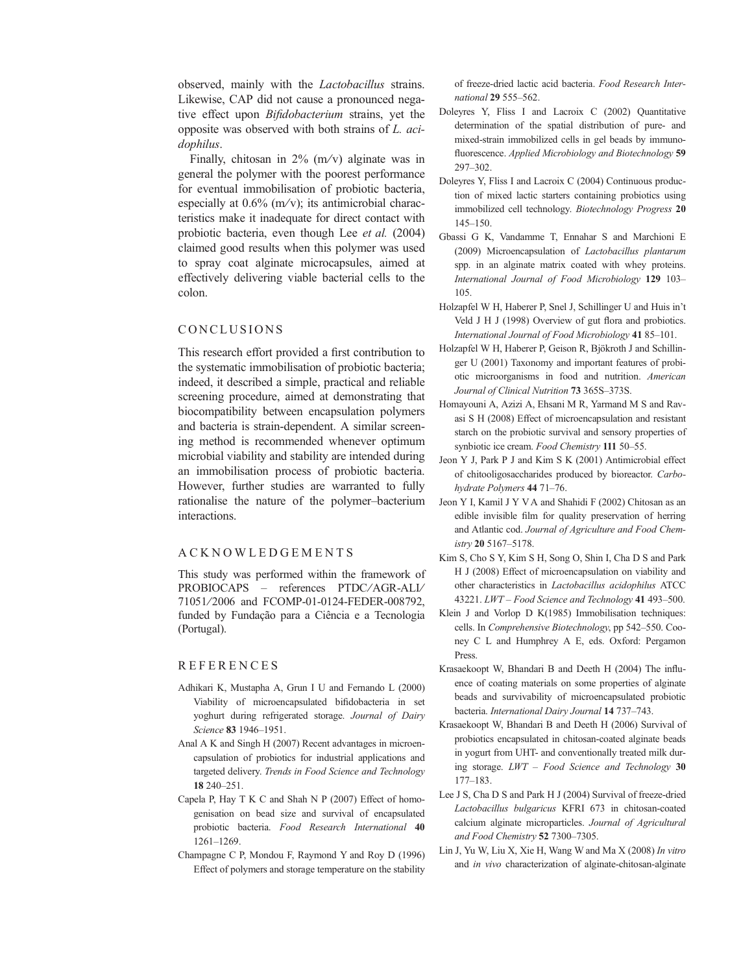observed, mainly with the Lactobacillus strains. Likewise, CAP did not cause a pronounced negative effect upon Bifidobacterium strains, yet the opposite was observed with both strains of L. acidophilus.

Finally, chitosan in  $2\%$  (m/v) alginate was in general the polymer with the poorest performance for eventual immobilisation of probiotic bacteria, especially at  $0.6\%$  (m/v); its antimicrobial characteristics make it inadequate for direct contact with probiotic bacteria, even though Lee et al. (2004) claimed good results when this polymer was used to spray coat alginate microcapsules, aimed at effectively delivering viable bacterial cells to the colon.

### CONCLUSIONS

This research effort provided a first contribution to the systematic immobilisation of probiotic bacteria; indeed, it described a simple, practical and reliable screening procedure, aimed at demonstrating that biocompatibility between encapsulation polymers and bacteria is strain-dependent. A similar screening method is recommended whenever optimum microbial viability and stability are intended during an immobilisation process of probiotic bacteria. However, further studies are warranted to fully rationalise the nature of the polymer–bacterium interactions.

#### ACKNOWLEDGEMENTS

This study was performed within the framework of PROBIOCAPS – references PTDC⁄AGR-ALI⁄ 71051/2006 and FCOMP-01-0124-FEDER-008792, funded by Fundação para a Ciência e a Tecnologia (Portugal).

# REFERENCES

- Adhikari K, Mustapha A, Grun I U and Fernando L (2000) Viability of microencapsulated bifidobacteria in set yoghurt during refrigerated storage. Journal of Dairy Science 83 1946–1951.
- Anal A K and Singh H (2007) Recent advantages in microencapsulation of probiotics for industrial applications and targeted delivery. Trends in Food Science and Technology 18 240–251.
- Capela P, Hay T K C and Shah N P (2007) Effect of homogenisation on bead size and survival of encapsulated probiotic bacteria. Food Research International 40 1261–1269.
- Champagne C P, Mondou F, Raymond Y and Roy D (1996) Effect of polymers and storage temperature on the stability

of freeze-dried lactic acid bacteria. Food Research International 29 555–562.

- Doleyres Y, Fliss I and Lacroix C (2002) Quantitative determination of the spatial distribution of pure- and mixed-strain immobilized cells in gel beads by immunofluorescence. Applied Microbiology and Biotechnology 59 297–302.
- Doleyres Y, Fliss I and Lacroix C (2004) Continuous production of mixed lactic starters containing probiotics using immobilized cell technology. Biotechnology Progress 20 145–150.
- Gbassi G K, Vandamme T, Ennahar S and Marchioni E (2009) Microencapsulation of Lactobacillus plantarum spp. in an alginate matrix coated with whey proteins. International Journal of Food Microbiology 129 103– 105.
- Holzapfel W H, Haberer P, Snel J, Schillinger U and Huis in't Veld J H J (1998) Overview of gut flora and probiotics. International Journal of Food Microbiology 41 85–101.
- Holzapfel W H, Haberer P, Geison R, Bjökroth J and Schillinger U (2001) Taxonomy and important features of probiotic microorganisms in food and nutrition. American Journal of Clinical Nutrition 73 365S–373S.
- Homayouni A, Azizi A, Ehsani M R, Yarmand M S and Ravasi S H (2008) Effect of microencapsulation and resistant starch on the probiotic survival and sensory properties of synbiotic ice cream. Food Chemistry 111 50-55.
- Jeon Y J, Park P J and Kim S K (2001) Antimicrobial effect of chitooligosaccharides produced by bioreactor. Carbohydrate Polymers 44 71–76.
- Jeon Y I, Kamil J Y V A and Shahidi F (2002) Chitosan as an edible invisible film for quality preservation of herring and Atlantic cod. Journal of Agriculture and Food Chemistry 20 5167–5178.
- Kim S, Cho S Y, Kim S H, Song O, Shin I, Cha D S and Park H J (2008) Effect of microencapsulation on viability and other characteristics in Lactobacillus acidophilus ATCC 43221. LWT – Food Science and Technology 41 493–500.
- Klein J and Vorlop D K(1985) Immobilisation techniques: cells. In Comprehensive Biotechnology, pp 542–550. Cooney C L and Humphrey A E, eds. Oxford: Pergamon Press.
- Krasaekoopt W, Bhandari B and Deeth H (2004) The influence of coating materials on some properties of alginate beads and survivability of microencapsulated probiotic bacteria. International Dairy Journal 14 737–743.
- Krasaekoopt W, Bhandari B and Deeth H (2006) Survival of probiotics encapsulated in chitosan-coated alginate beads in yogurt from UHT- and conventionally treated milk during storage.  $LWT - Food Science$  and Technology 30 177–183.
- Lee J S, Cha D S and Park H J (2004) Survival of freeze-dried Lactobacillus bulgaricus KFRI 673 in chitosan-coated calcium alginate microparticles. Journal of Agricultural and Food Chemistry 52 7300–7305.
- Lin J, Yu W, Liu X, Xie H, Wang W and Ma X (2008) In vitro and in vivo characterization of alginate-chitosan-alginate